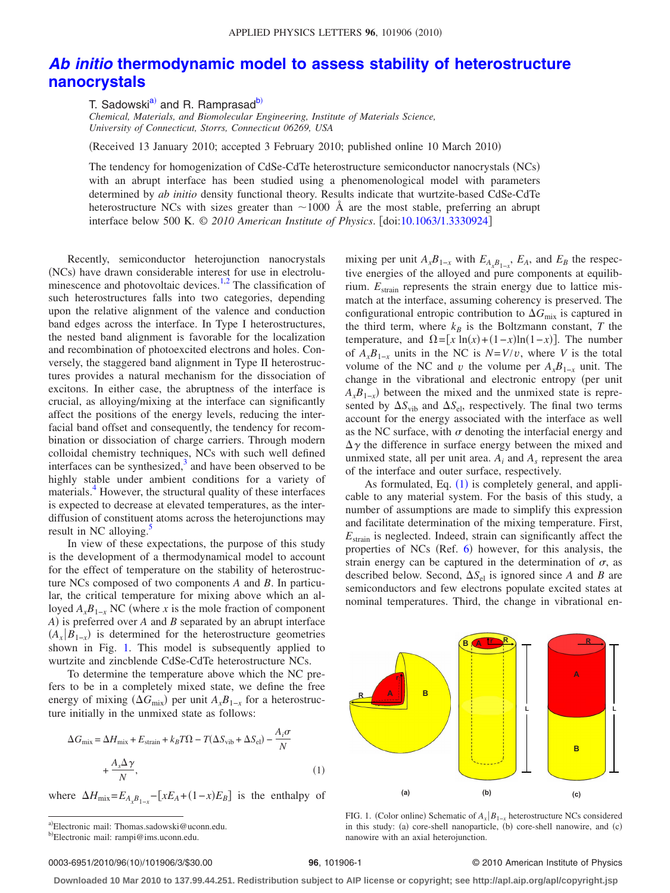## *Ab initio* **[thermodynamic model to assess stability of heterostructure](http://dx.doi.org/10.1063/1.3330924) [nanocrystals](http://dx.doi.org/10.1063/1.3330924)**

T. Sadowski<sup>a)</sup> and R. Ramprasad<sup>b)</sup>

*Chemical, Materials, and Biomolecular Engineering, Institute of Materials Science, University of Connecticut, Storrs, Connecticut 06269, USA*

(Received 13 January 2010; accepted 3 February 2010; published online 10 March 2010)

The tendency for homogenization of CdSe-CdTe heterostructure semiconductor nanocrystals (NCs) with an abrupt interface has been studied using a phenomenological model with parameters determined by *ab initio* density functional theory. Results indicate that wurtzite-based CdSe-CdTe heterostructure NCs with sizes greater than  $\sim$ 1000 Å are the most stable, preferring an abrupt interface below 500 K. © *2010 American Institute of Physics*. doi[:10.1063/1.3330924](http://dx.doi.org/10.1063/1.3330924)

Recently, semiconductor heterojunction nanocrystals (NCs) have drawn considerable interest for use in electroluminescence and photovoltaic devices. $1,2$  $1,2$  The classification of such heterostructures falls into two categories, depending upon the relative alignment of the valence and conduction band edges across the interface. In Type I heterostructures, the nested band alignment is favorable for the localization and recombination of photoexcited electrons and holes. Conversely, the staggered band alignment in Type II heterostructures provides a natural mechanism for the dissociation of excitons. In either case, the abruptness of the interface is crucial, as alloying/mixing at the interface can significantly affect the positions of the energy levels, reducing the interfacial band offset and consequently, the tendency for recombination or dissociation of charge carriers. Through modern colloidal chemistry techniques, NCs with such well defined interfaces can be synthesized, $3$  and have been observed to be highly stable under ambient conditions for a variety of materials.<sup>4</sup> However, the structural quality of these interfaces is expected to decrease at elevated temperatures, as the interdiffusion of constituent atoms across the heterojunctions may result in NC alloying. $\frac{5}{5}$ 

In view of these expectations, the purpose of this study is the development of a thermodynamical model to account for the effect of temperature on the stability of heterostructure NCs composed of two components *A* and *B*. In particular, the critical temperature for mixing above which an alloyed  $A_xB_{1-x}$  NC (where *x* is the mole fraction of component *A*) is preferred over *A* and *B* separated by an abrupt interface  $(A_x|B_{1-x})$  is determined for the heterostructure geometries shown in Fig. [1.](#page-0-2) This model is subsequently applied to wurtzite and zincblende CdSe-CdTe heterostructure NCs.

<span id="page-0-3"></span>To determine the temperature above which the NC prefers to be in a completely mixed state, we define the free energy of mixing  $(\Delta G_{\text{mix}})$  per unit  $A_x B_{1-x}$  for a heterostructure initially in the unmixed state as follows:

$$
\Delta G_{\text{mix}} = \Delta H_{\text{mix}} + E_{\text{strain}} + k_B T \Omega - T(\Delta S_{\text{vib}} + \Delta S_{\text{el}}) - \frac{A_i \sigma}{N}
$$

$$
+ \frac{A_s \Delta \gamma}{N},
$$
(1)

<span id="page-0-1"></span><span id="page-0-0"></span>where  $\Delta H_{\text{mix}} = E_{A_x B_{1-x}} - [xE_A + (1-x)E_B]$  is the enthalpy of

a)Electronic mail: Thomas.sadowski@uconn.edu.

mixing per unit  $A_x B_{1-x}$  with  $E_{A_x B_{1-x}}$ ,  $E_A$ , and  $E_B$  the respective energies of the alloyed and pure components at equilibrium.  $E_{strain}$  represents the strain energy due to lattice mismatch at the interface, assuming coherency is preserved. The configurational entropic contribution to  $\Delta G_{\text{mix}}$  is captured in the third term, where  $k_B$  is the Boltzmann constant, *T* the temperature, and  $\Omega = [x \ln(x) + (1-x)\ln(1-x)]$ . The number of  $A_x B_{1-x}$  units in the NC is  $N=V/v$ , where *V* is the total volume of the NC and *v* the volume per  $A_xB_{1-x}$  unit. The change in the vibrational and electronic entropy (per unit  $A_x B_{1-x}$ ) between the mixed and the unmixed state is represented by  $\Delta S_{\text{vib}}$  and  $\Delta S_{\text{el}}$ , respectively. The final two terms account for the energy associated with the interface as well as the NC surface, with  $\sigma$  denoting the interfacial energy and  $\Delta \gamma$  the difference in surface energy between the mixed and unmixed state, all per unit area.  $A_i$  and  $A_s$  represent the area of the interface and outer surface, respectively.

As formulated, Eq.  $(1)$  $(1)$  $(1)$  is completely general, and applicable to any material system. For the basis of this study, a number of assumptions are made to simplify this expression and facilitate determination of the mixing temperature. First, *E*strain is neglected. Indeed, strain can significantly affect the properties of NCs (Ref. [6](#page-2-5)) however, for this analysis, the strain energy can be captured in the determination of  $\sigma$ , as described below. Second,  $\Delta S_{el}$  is ignored since *A* and *B* are semiconductors and few electrons populate excited states at nominal temperatures. Third, the change in vibrational en-

<span id="page-0-2"></span>

FIG. 1. (Color online) Schematic of  $A_x|B_{1-x}$  heterostructure NCs considered in this study: (a) core-shell nanoparticle, (b) core-shell nanowire, and (c) nanowire with an axial heterojunction.

## **96**, 101906-1 © 2010 American Institute of Physics

**Downloaded 10 Mar 2010 to 137.99.44.251. Redistribution subject to AIP license or copyright; see http://apl.aip.org/apl/copyright.jsp**

<sup>&</sup>lt;sup>b)</sup>Electronic mail: rampi@ims.uconn.edu.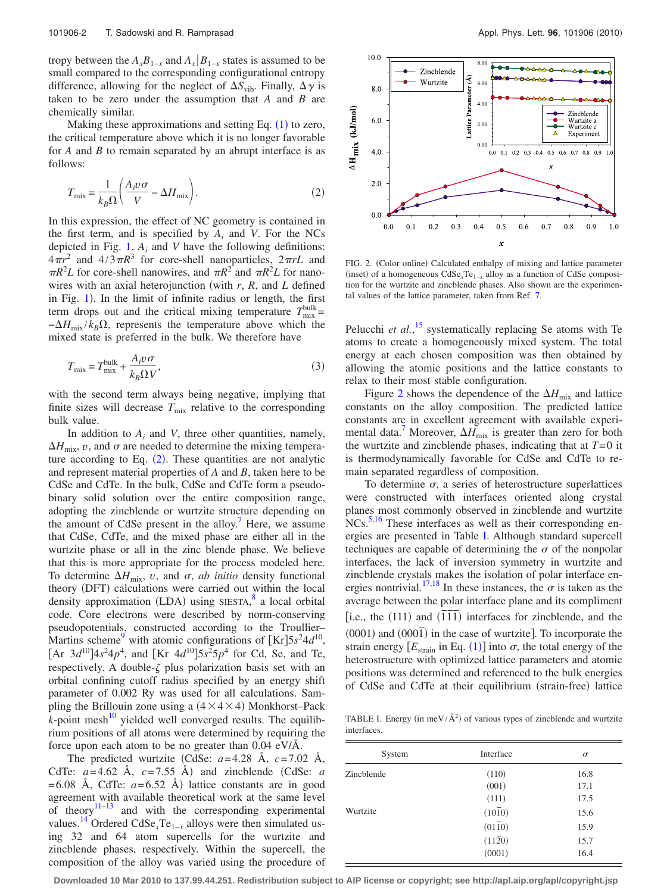tropy between the  $A_xB_{1-x}$  and  $A_x|B_{1-x}$  states is assumed to be small compared to the corresponding configurational entropy difference, allowing for the neglect of  $\Delta S_{vib}$ . Finally,  $\Delta \gamma$  is taken to be zero under the assumption that *A* and *B* are chemically similar.

<span id="page-1-0"></span>Making these approximations and setting Eq.  $(1)$  $(1)$  $(1)$  to zero, the critical temperature above which it is no longer favorable for *A* and *B* to remain separated by an abrupt interface is as follows:

$$
T_{\text{mix}} = \frac{1}{k_B \Omega} \left( \frac{A_i v \sigma}{V} - \Delta H_{\text{mix}} \right). \tag{2}
$$

In this expression, the effect of NC geometry is contained in the first term, and is specified by *Ai* and *V*. For the NCs depicted in Fig. [1,](#page-0-2) *Ai* and *V* have the following definitions:  $4\pi r^2$  and  $4/3\pi R^3$  for core-shell nanoparticles,  $2\pi rL$  and  $\pi R^2 L$  for core-shell nanowires, and  $\pi R^2$  and  $\pi R^2 L$  for nanowires with an axial heterojunction (with  $r$ ,  $R$ , and  $L$  defined in Fig. [1](#page-0-2)). In the limit of infinite radius or length, the first term drops out and the critical mixing temperature  $T_{\text{mix}}^{\text{bulk}}=$  $-\Delta H_{\text{mix}}/k_B \Omega$ , represents the temperature above which the mixed state is preferred in the bulk. We therefore have

<span id="page-1-3"></span>
$$
T_{\text{mix}} = T_{\text{mix}}^{\text{bulk}} + \frac{A_i v \sigma}{k_B \Omega V},\tag{3}
$$

with the second term always being negative, implying that finite sizes will decrease  $T_{\text{mix}}$  relative to the corresponding bulk value.

In addition to  $A_i$  and *V*, three other quantities, namely,  $\Delta H_{\text{mix}}$ , *v*, and  $\sigma$  are needed to determine the mixing temperature according to Eq.  $(2)$  $(2)$  $(2)$ . These quantities are not analytic and represent material properties of *A* and *B*, taken here to be CdSe and CdTe. In the bulk, CdSe and CdTe form a pseudobinary solid solution over the entire composition range, adopting the zincblende or wurtzite structure depending on the amount of CdSe present in the alloy.<sup> $\prime$ </sup> Here, we assume that CdSe, CdTe, and the mixed phase are either all in the wurtzite phase or all in the zinc blende phase. We believe that this is more appropriate for the process modeled here. To determine  $\Delta H_{\text{mix}}$ , *v*, and  $\sigma$ , *ab initio* density functional theory (DFT) calculations were carried out within the local density approximation (LDA) using SIESTA,<sup>[8](#page-2-7)</sup> a local orbital code. Core electrons were described by norm-conserving pseudopotentials, constructed according to the Troullier– Martins scheme<sup>9</sup> with atomic configurations of  $[Kr]$ 5s<sup>2</sup>4d<sup>10</sup>,  $[Ar \ 3d^{10}]$ 4*s*<sup>2</sup>4*p*<sup>4</sup>, and  $[Kr \ 4d^{10}]$ 5*s*<sup>2</sup>5*p*<sup>4</sup> for Cd, Se, and Te, respectively. A double- $\zeta$  plus polarization basis set with an orbital confining cutoff radius specified by an energy shift parameter of 0.002 Ry was used for all calculations. Sampling the Brillouin zone using a  $(4 \times 4 \times 4)$  Monkhorst–Pack  $k$ -point mesh<sup>10</sup> yielded well converged results. The equilibrium positions of all atoms were determined by requiring the force upon each atom to be no greater than 0.04 eV/Å.

The predicted wurtzite CdSe: *a*=4.28 Å, *c*=7.02 Å, CdTe:  $a=4.62$  Å,  $c=7.55$  Å) and zincblende (CdSe:  $a$  $=6.08$  Å, CdTe:  $a=6.52$  Å) lattice constants are in good agreement with available theoretical work at the same level of theory $11-13$  and with the corresponding experimental values.<sup>14</sup> Ordered CdSe<sub>x</sub>Te<sub>1−*x*</sub> alloys were then simulated using 32 and 64 atom supercells for the wurtzite and zincblende phases, respectively. Within the supercell, the composition of the alloy was varied using the procedure of

<span id="page-1-1"></span>

FIG. 2. (Color online) Calculated enthalpy of mixing and lattice parameter (inset) of a homogeneous CdSe<sub>*x*</sub>Te<sub>1−*x*</sub> alloy as a function of CdSe composition for the wurtzite and zincblende phases. Also shown are the experimental values of the lattice parameter, taken from Ref. [7.](#page-2-6)

Pelucchi *et al.*<sup>[15](#page-2-13)</sup> systematically replacing Se atoms with Te atoms to create a homogeneously mixed system. The total energy at each chosen composition was then obtained by allowing the atomic positions and the lattice constants to relax to their most stable configuration.

Figure [2](#page-1-1) shows the dependence of the  $\Delta H_{\text{mix}}$  and lattice constants on the alloy composition. The predicted lattice constants are in excellent agreement with available experimental data.<sup>7</sup> Moreover,  $\Delta H_{\text{mix}}$  is greater than zero for both the wurtzite and zincblende phases, indicating that at *T*=0 it is thermodynamically favorable for CdSe and CdTe to remain separated regardless of composition.

To determine  $\sigma$ , a series of heterostructure superlattices were constructed with interfaces oriented along crystal planes most commonly observed in zincblende and wurtzite NCs.<sup>5,[16](#page-2-14)</sup> These interfaces as well as their corresponding energies are presented in Table [I.](#page-1-2) Although standard supercell techniques are capable of determining the  $\sigma$  of the nonpolar interfaces, the lack of inversion symmetry in wurtzite and zincblende crystals makes the isolation of polar interface en-ergies nontrivial.<sup>17[,18](#page-2-16)</sup> In these instances, the  $\sigma$  is taken as the average between the polar interface plane and its compliment  $\frac{1}{2}$  i.e., the (111) and  $(\overline{111})$  interfaces for zincblende, and the  $(0001)$  and  $(000\bar{1})$  in the case of wurtzite]. To incorporate the strain energy  $[E_{\text{strain}}]$  in Eq. ([1](#page-0-3)) into  $\sigma$ , the total energy of the heterostructure with optimized lattice parameters and atomic positions was determined and referenced to the bulk energies of CdSe and CdTe at their equilibrium (strain-free) lattice

<span id="page-1-2"></span>TABLE I. Energy (in meV/ $\AA^2$ ) of various types of zincblende and wurtzite interfaces.

| System     | Interface      | $\sigma$ |
|------------|----------------|----------|
| Zinchlende | (110)          | 16.8     |
|            | (001)          | 17.1     |
|            | (111)          | 17.5     |
| Wurtzite   | (1010)         | 15.6     |
|            | $(01\bar{1}0)$ | 15.9     |
|            | $(11\bar{2}0)$ | 15.7     |
|            | (0001)         | 16.4     |

**Downloaded 10 Mar 2010 to 137.99.44.251. Redistribution subject to AIP license or copyright; see http://apl.aip.org/apl/copyright.jsp**